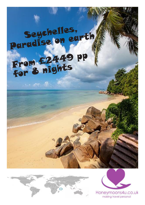## Seychelles, Paradise on earth From £2449 pp for <sup>8</sup> nights

 $\sim$  at  $^{\circ}$